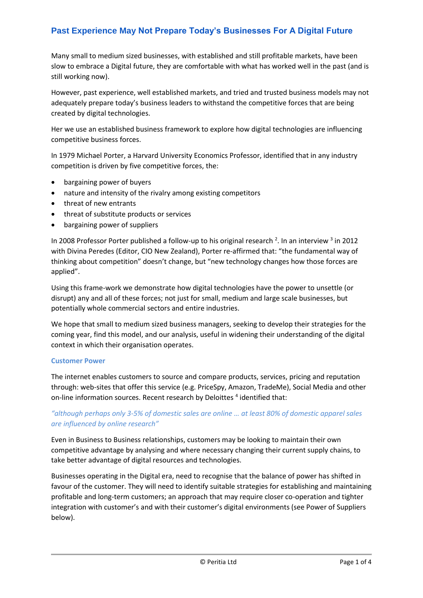Many small to medium sized businesses, with established and still profitable markets, have been slow to embrace a Digital future, they are comfortable with what has worked well in the past (and is still working now).

However, past experience, well established markets, and tried and trusted business models may not adequately prepare today's business leaders to withstand the competitive forces that are being created by digital technologies.

Her we use an established business framework to explore how digital technologies are influencing competitive business forces.

In 1979 Michael Porter, a Harvard University Economics Professor, identified that in any industry competition is driven by five competitive forces, the:

- bargaining power of buyers
- nature and intensity of the rivalry among existing competitors
- threat of new entrants
- threat of substitute products or services
- bargaining power of suppliers

In 2008 Professor Porter published a follow-up to his original research  $2$ . In an interview  $3$  in 2012 with Divina Peredes (Editor, CIO New Zealand), Porter re-affirmed that: "the fundamental way of thinking about competition" doesn't change, but "new technology changes how those forces are applied".

Using this frame-work we demonstrate how digital technologies have the power to unsettle (or disrupt) any and all of these forces; not just for small, medium and large scale businesses, but potentially whole commercial sectors and entire industries.

We hope that small to medium sized business managers, seeking to develop their strategies for the coming year, find this model, and our analysis, useful in widening their understanding of the digital context in which their organisation operates.

### **Customer Power**

The internet enables customers to source and compare products, services, pricing and reputation through: web-sites that offer this service (e.g. PriceSpy, Amazon, TradeMe), Social Media and other on-line information sources. Recent research by Deloittes <sup>4</sup> identified that:

### *"although perhaps only 3-5% of domestic sales are online … at least 80% of domestic apparel sales are influenced by online research"*

Even in Business to Business relationships, customers may be looking to maintain their own competitive advantage by analysing and where necessary changing their current supply chains, to take better advantage of digital resources and technologies.

Businesses operating in the Digital era, need to recognise that the balance of power has shifted in favour of the customer. They will need to identify suitable strategies for establishing and maintaining profitable and long-term customers; an approach that may require closer co-operation and tighter integration with customer's and with their customer's digital environments (see Power of Suppliers below).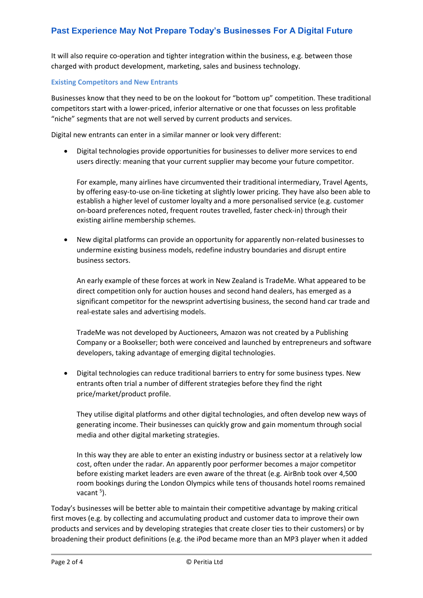It will also require co-operation and tighter integration within the business, e.g. between those charged with product development, marketing, sales and business technology.

### **Existing Competitors and New Entrants**

Businesses know that they need to be on the lookout for "bottom up" competition. These traditional competitors start with a lower-priced, inferior alternative or one that focusses on less profitable "niche" segments that are not well served by current products and services.

Digital new entrants can enter in a similar manner or look very different:

• Digital technologies provide opportunities for businesses to deliver more services to end users directly: meaning that your current supplier may become your future competitor.

For example, many airlines have circumvented their traditional intermediary, Travel Agents, by offering easy-to-use on-line ticketing at slightly lower pricing. They have also been able to establish a higher level of customer loyalty and a more personalised service (e.g. customer on-board preferences noted, frequent routes travelled, faster check-in) through their existing airline membership schemes.

• New digital platforms can provide an opportunity for apparently non-related businesses to undermine existing business models, redefine industry boundaries and disrupt entire business sectors.

An early example of these forces at work in New Zealand is TradeMe. What appeared to be direct competition only for auction houses and second hand dealers, has emerged as a significant competitor for the newsprint advertising business, the second hand car trade and real-estate sales and advertising models.

TradeMe was not developed by Auctioneers, Amazon was not created by a Publishing Company or a Bookseller; both were conceived and launched by entrepreneurs and software developers, taking advantage of emerging digital technologies.

• Digital technologies can reduce traditional barriers to entry for some business types. New entrants often trial a number of different strategies before they find the right price/market/product profile.

They utilise digital platforms and other digital technologies, and often develop new ways of generating income. Their businesses can quickly grow and gain momentum through social media and other digital marketing strategies.

In this way they are able to enter an existing industry or business sector at a relatively low cost, often under the radar. An apparently poor performer becomes a major competitor before existing market leaders are even aware of the threat (e.g. AirBnb took over 4,500 room bookings during the London Olympics while tens of thousands hotel rooms remained vacant <sup>5</sup>).

Today's businesses will be better able to maintain their competitive advantage by making critical first moves (e.g. by collecting and accumulating product and customer data to improve their own products and services and by developing strategies that create closer ties to their customers) or by broadening their product definitions (e.g. the iPod became more than an MP3 player when it added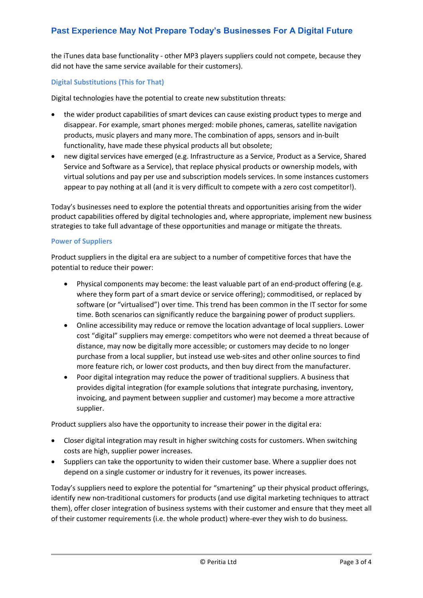the iTunes data base functionality - other MP3 players suppliers could not compete, because they did not have the same service available for their customers).

### **Digital Substitutions (This for That)**

Digital technologies have the potential to create new substitution threats:

- the wider product capabilities of smart devices can cause existing product types to merge and disappear. For example, smart phones merged: mobile phones, cameras, satellite navigation products, music players and many more. The combination of apps, sensors and in-built functionality, have made these physical products all but obsolete;
- new digital services have emerged (e.g. Infrastructure as a Service, Product as a Service, Shared Service and Software as a Service), that replace physical products or ownership models, with virtual solutions and pay per use and subscription models services. In some instances customers appear to pay nothing at all (and it is very difficult to compete with a zero cost competitor!).

Today's businesses need to explore the potential threats and opportunities arising from the wider product capabilities offered by digital technologies and, where appropriate, implement new business strategies to take full advantage of these opportunities and manage or mitigate the threats.

### **Power of Suppliers**

Product suppliers in the digital era are subject to a number of competitive forces that have the potential to reduce their power:

- Physical components may become: the least valuable part of an end-product offering (e.g. where they form part of a smart device or service offering); commoditised, or replaced by software (or "virtualised") over time. This trend has been common in the IT sector for some time. Both scenarios can significantly reduce the bargaining power of product suppliers.
- Online accessibility may reduce or remove the location advantage of local suppliers. Lower cost "digital" suppliers may emerge: competitors who were not deemed a threat because of distance, may now be digitally more accessible; or customers may decide to no longer purchase from a local supplier, but instead use web-sites and other online sources to find more feature rich, or lower cost products, and then buy direct from the manufacturer.
- Poor digital integration may reduce the power of traditional suppliers. A business that provides digital integration (for example solutions that integrate purchasing, inventory, invoicing, and payment between supplier and customer) may become a more attractive supplier.

Product suppliers also have the opportunity to increase their power in the digital era:

- Closer digital integration may result in higher switching costs for customers. When switching costs are high, supplier power increases.
- Suppliers can take the opportunity to widen their customer base. Where a supplier does not depend on a single customer or industry for it revenues, its power increases.

Today's suppliers need to explore the potential for "smartening" up their physical product offerings, identify new non-traditional customers for products (and use digital marketing techniques to attract them), offer closer integration of business systems with their customer and ensure that they meet all of their customer requirements (i.e. the whole product) where-ever they wish to do business.